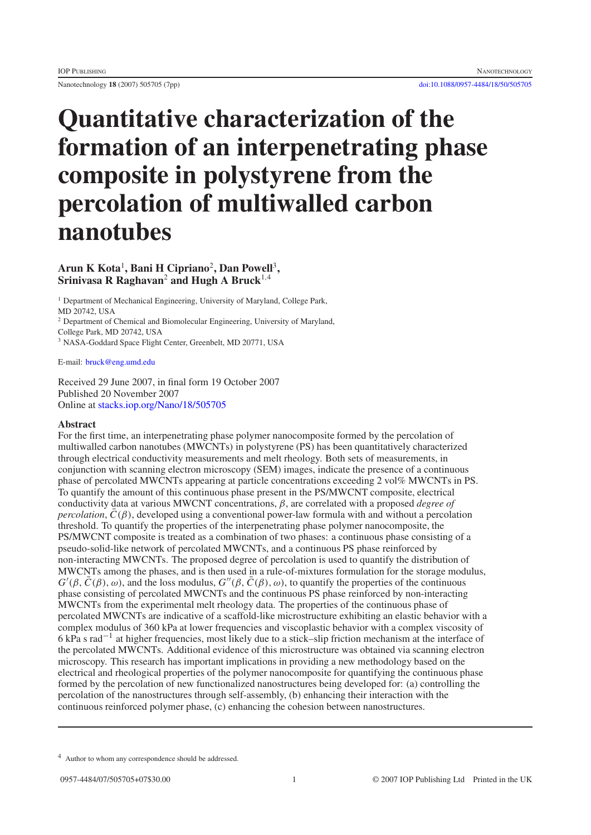Nanotechnology **18** (2007) 505705 (7pp) [doi:10.1088/0957-4484/18/50/505705](http://dx.doi.org/10.1088/0957-4484/18/50/505705)

# **Quantitative characterization of the formation of an interpenetrating phase composite in polystyrene from the percolation of multiwalled carbon nanotubes**

## **Arun K Kota**<sup>1</sup> **, Bani H Cipriano**<sup>2</sup>**, Dan Powell**<sup>3</sup>**, Srinivasa R Raghavan**<sup>2</sup> **and Hugh A Bruck**<sup>1</sup>,<sup>4</sup>

<sup>1</sup> Department of Mechanical Engineering, University of Maryland, College Park, MD 20742, USA

<sup>2</sup> Department of Chemical and Biomolecular Engineering, University of Maryland,

College Park, MD 20742, USA

<sup>3</sup> NASA-Goddard Space Flight Center, Greenbelt, MD 20771, USA

E-mail: [bruck@eng.umd.edu](mailto:bruck@eng.umd.edu)

Received 29 June 2007, in final form 19 October 2007 Published 20 November 2007 Online at [stacks.iop.org/Nano/18/505705](http://stacks.iop.org/Nano/18/505705)

## **Abstract**

For the first time, an interpenetrating phase polymer nanocomposite formed by the percolation of multiwalled carbon nanotubes (MWCNTs) in polystyrene (PS) has been quantitatively characterized through electrical conductivity measurements and melt rheology. Both sets of measurements, in conjunction with scanning electron microscopy (SEM) images, indicate the presence of a continuous phase of percolated MWCNTs appearing at particle concentrations exceeding 2 vol% MWCNTs in PS. To quantify the amount of this continuous phase present in the PS/MWCNT composite, electrical conductivity data at various MWCNT concentrations, β, are correlated with a proposed *degree of percolation*,  $C(\beta)$ , developed using a conventional power-law formula with and without a percolation threshold. To quantify the properties of the interpenetrating phase polymer nanocomposite, the PS/MWCNT composite is treated as a combination of two phases: a continuous phase consisting of a pseudo-solid-like network of percolated MWCNTs, and a continuous PS phase reinforced by non-interacting MWCNTs. The proposed degree of percolation is used to quantify the distribution of MWCNTs among the phases, and is then used in a rule-of-mixtures formulation for the storage modulus,  $G'(\beta, \bar{C}(\beta), \omega)$ , and the loss modulus,  $G''(\beta, \bar{C}(\beta), \omega)$ , to quantify the properties of the continuous phase consisting of percolated MWCNTs and the continuous PS phase reinforced by non-interacting MWCNTs from the experimental melt rheology data. The properties of the continuous phase of percolated MWCNTs are indicative of a scaffold-like microstructure exhibiting an elastic behavior with a complex modulus of 360 kPa at lower frequencies and viscoplastic behavior with a complex viscosity of 6 kPa s rad−<sup>1</sup> at higher frequencies, most likely due to a stick–slip friction mechanism at the interface of the percolated MWCNTs. Additional evidence of this microstructure was obtained via scanning electron microscopy. This research has important implications in providing a new methodology based on the electrical and rheological properties of the polymer nanocomposite for quantifying the continuous phase formed by the percolation of new functionalized nanostructures being developed for: (a) controlling the percolation of the nanostructures through self-assembly, (b) enhancing their interaction with the continuous reinforced polymer phase, (c) enhancing the cohesion between nanostructures.

<sup>4</sup> Author to whom any correspondence should be addressed.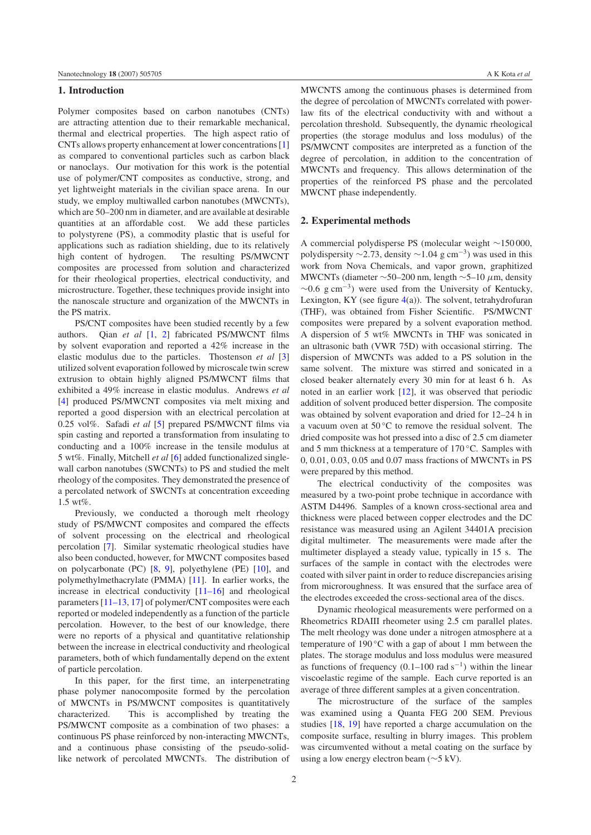#### **1. Introduction**

Polymer composites based on carbon nanotubes (CNTs) are attracting attention due to their remarkable mechanical, thermal and electrical properties. The high aspect ratio of CNTs allows property enhancement at lower concentrations [\[1\]](#page-6-0) as compared to conventional particles such as carbon black or nanoclays. Our motivation for this work is the potential use of polymer/CNT composites as conductive, strong, and yet lightweight materials in the civilian space arena. In our study, we employ multiwalled carbon nanotubes (MWCNTs), which are 50–200 nm in diameter, and are available at desirable quantities at an affordable cost. We add these particles to polystyrene (PS), a commodity plastic that is useful for applications such as radiation shielding, due to its relatively high content of hydrogen. The resulting PS/MWCNT composites are processed from solution and characterized for their rheological properties, electrical conductivity, and microstructure. Together, these techniques provide insight into the nanoscale structure and organization of the MWCNTs in the PS matrix.

PS/CNT composites have been studied recently by a few authors. Qian *et al* [\[1,](#page-6-0) [2\]](#page-6-1) fabricated PS/MWCNT films by solvent evaporation and reported a 42% increase in the elastic modulus due to the particles. Thostenson *et al* [\[3\]](#page-6-2) utilized solvent evaporation followed by microscale twin screw extrusion to obtain highly aligned PS/MWCNT films that exhibited a 49% increase in elastic modulus. Andrews *et al* [\[4\]](#page-6-3) produced PS/MWCNT composites via melt mixing and reported a good dispersion with an electrical percolation at 0.25 vol%. Safadi *et al* [\[5\]](#page-6-4) prepared PS/MWCNT films via spin casting and reported a transformation from insulating to conducting and a 100% increase in the tensile modulus at 5 wt%. Finally, Mitchell *et al* [\[6\]](#page-6-5) added functionalized singlewall carbon nanotubes (SWCNTs) to PS and studied the melt rheology of the composites. They demonstrated the presence of a percolated network of SWCNTs at concentration exceeding 1.5 wt%.

Previously, we conducted a thorough melt rheology study of PS/MWCNT composites and compared the effects of solvent processing on the electrical and rheological percolation [\[7\]](#page-6-6). Similar systematic rheological studies have also been conducted, however, for MWCNT composites based on polycarbonate (PC) [\[8,](#page-6-7) [9\]](#page-6-8), polyethylene (PE) [\[10\]](#page-6-9), and polymethylmethacrylate (PMMA) [\[11\]](#page-6-10). In earlier works, the increase in electrical conductivity [\[11–16\]](#page-6-10) and rheological parameters [\[11–13,](#page-6-10) [17\]](#page-6-11) of polymer/CNT composites were each reported or modeled independently as a function of the particle percolation. However, to the best of our knowledge, there were no reports of a physical and quantitative relationship between the increase in electrical conductivity and rheological parameters, both of which fundamentally depend on the extent of particle percolation.

In this paper, for the first time, an interpenetrating phase polymer nanocomposite formed by the percolation of MWCNTs in PS/MWCNT composites is quantitatively characterized. This is accomplished by treating the PS/MWCNT composite as a combination of two phases: a continuous PS phase reinforced by non-interacting MWCNTs, and a continuous phase consisting of the pseudo-solidlike network of percolated MWCNTs. The distribution of

MWCNTS among the continuous phases is determined from the degree of percolation of MWCNTs correlated with powerlaw fits of the electrical conductivity with and without a percolation threshold. Subsequently, the dynamic rheological properties (the storage modulus and loss modulus) of the PS/MWCNT composites are interpreted as a function of the degree of percolation, in addition to the concentration of MWCNTs and frequency. This allows determination of the properties of the reinforced PS phase and the percolated MWCNT phase independently.

### **2. Experimental methods**

A commercial polydisperse PS (molecular weight ∼150 000, polydispersity  $\sim$ 2.73, density  $\sim$ 1.04 g cm<sup>-3</sup>) was used in this work from Nova Chemicals, and vapor grown, graphitized MWCNTs (diameter  $\sim$ 50–200 nm, length  $\sim$ 5–10  $\mu$ m, density  $\sim$ 0.6 g cm<sup>-3</sup>) were used from the University of Kentucky, Lexington, KY (see figure  $4(a)$  $4(a)$ ). The solvent, tetrahydrofuran (THF), was obtained from Fisher Scientific. PS/MWCNT composites were prepared by a solvent evaporation method. A dispersion of 5 wt% MWCNTs in THF was sonicated in an ultrasonic bath (VWR 75D) with occasional stirring. The dispersion of MWCNTs was added to a PS solution in the same solvent. The mixture was stirred and sonicated in a closed beaker alternately every 30 min for at least 6 h. As noted in an earlier work [\[12\]](#page-6-12), it was observed that periodic addition of solvent produced better dispersion. The composite was obtained by solvent evaporation and dried for 12–24 h in a vacuum oven at  $50^{\circ}$ C to remove the residual solvent. The dried composite was hot pressed into a disc of 2.5 cm diameter and 5 mm thickness at a temperature of 170 °C. Samples with 0, 0.01, 0.03, 0.05 and 0.07 mass fractions of MWCNTs in PS were prepared by this method.

The electrical conductivity of the composites was measured by a two-point probe technique in accordance with ASTM D4496. Samples of a known cross-sectional area and thickness were placed between copper electrodes and the DC resistance was measured using an Agilent 34401A precision digital multimeter. The measurements were made after the multimeter displayed a steady value, typically in 15 s. The surfaces of the sample in contact with the electrodes were coated with silver paint in order to reduce discrepancies arising from microroughness. It was ensured that the surface area of the electrodes exceeded the cross-sectional area of the discs.

Dynamic rheological measurements were performed on a Rheometrics RDAIII rheometer using 2.5 cm parallel plates. The melt rheology was done under a nitrogen atmosphere at a temperature of 190 ℃ with a gap of about 1 mm between the plates. The storage modulus and loss modulus were measured as functions of frequency  $(0.1–100 \text{ rad s}^{-1})$  within the linear viscoelastic regime of the sample. Each curve reported is an average of three different samples at a given concentration.

The microstructure of the surface of the samples was examined using a Quanta FEG 200 SEM. Previous studies [\[18,](#page-6-13) [19\]](#page-6-14) have reported a charge accumulation on the composite surface, resulting in blurry images. This problem was circumvented without a metal coating on the surface by using a low energy electron beam (∼5 kV).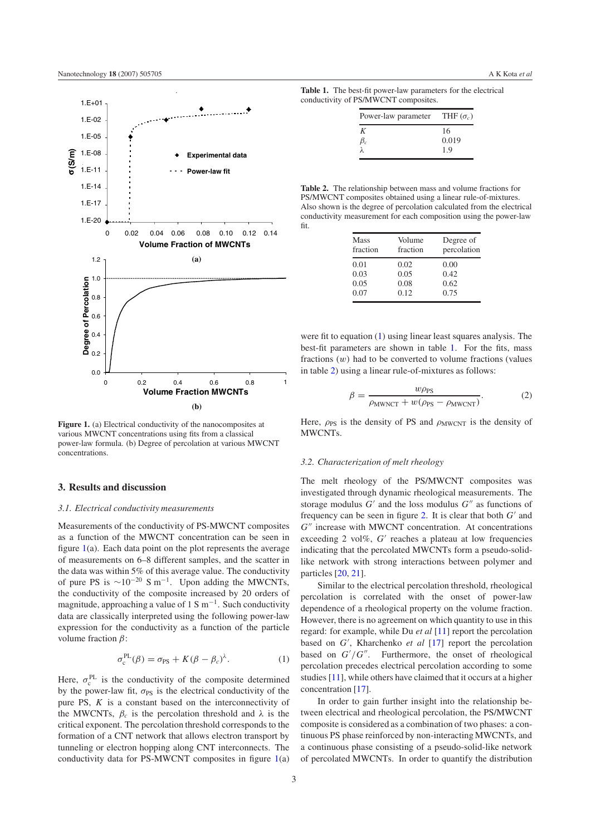<span id="page-2-0"></span>

**Figure 1.** (a) Electrical conductivity of the nanocomposites at various MWCNT concentrations using fits from a classical power-law formula. (b) Degree of percolation at various MWCNT concentrations.

## **3. Results and discussion**

#### *3.1. Electrical conductivity measurements*

<span id="page-2-1"></span>Measurements of the conductivity of PS-MWCNT composites as a function of the MWCNT concentration can be seen in figure  $1(a)$  $1(a)$ . Each data point on the plot represents the average of measurements on 6–8 different samples, and the scatter in the data was within 5% of this average value. The conductivity of pure PS is  $\sim 10^{-20}$  S m<sup>-1</sup>. Upon adding the MWCNTs, the conductivity of the composite increased by 20 orders of magnitude, approaching a value of 1 S m<sup>-1</sup>. Such conductivity data are classically interpreted using the following power-law expression for the conductivity as a function of the particle volume fraction  $β$ :

$$
\sigma_{\rm c}^{\rm PL}(\beta) = \sigma_{\rm PS} + K(\beta - \beta_c)^{\lambda}.
$$
 (1)

Here,  $\sigma_c^{PL}$  is the conductivity of the composite determined by the power-law fit,  $\sigma_{PS}$  is the electrical conductivity of the pure PS, *K* is a constant based on the interconnectivity of the MWCNTs,  $\beta_c$  is the percolation threshold and  $\lambda$  is the critical exponent. The percolation threshold corresponds to the formation of a CNT network that allows electron transport by tunneling or electron hopping along CNT interconnects. The conductivity data for PS-MWCNT composites in figure [1\(](#page-2-0)a)

<span id="page-2-3"></span><span id="page-2-2"></span>**Table 1.** The best-fit power-law parameters for the electrical conductivity of PS/MWCNT composites.

| Power-law parameter THF $(\sigma_c)$ |       |
|--------------------------------------|-------|
| ĸ                                    | 16    |
|                                      | 0.019 |
|                                      | 1.9   |

**Table 2.** The relationship between mass and volume fractions for PS/MWCNT composites obtained using a linear rule-of-mixtures. Also shown is the degree of percolation calculated from the electrical conductivity measurement for each composition using the power-law fit.

| <b>Mass</b><br>fraction | Volume<br>fraction | Degree of<br>percolation |
|-------------------------|--------------------|--------------------------|
| 0.01                    | 0.02               | 0.00                     |
| 0.03                    | 0.05               | 0.42                     |
| 0.05                    | 0.08               | 0.62                     |
| 0.07                    | 0.12               | 0.75                     |
|                         |                    |                          |

were fit to equation [\(1\)](#page-2-1) using linear least squares analysis. The best-fit parameters are shown in table [1.](#page-2-2) For the fits, mass fractions  $(w)$  had to be converted to volume fractions (values in table [2\)](#page-2-3) using a linear rule-of-mixtures as follows:

$$
\beta = \frac{w\rho_{\rm PS}}{\rho_{\rm MWNCT} + w(\rho_{\rm PS} - \rho_{\rm MWCNT})}.
$$
 (2)

Here,  $\rho_{PS}$  is the density of PS and  $\rho_{MWCNT}$  is the density of MWCNTs.

#### *3.2. Characterization of melt rheology*

The melt rheology of the PS/MWCNT composites was investigated through dynamic rheological measurements. The storage modulus  $G'$  and the loss modulus  $G''$  as functions of frequency can be seen in figure [2.](#page-3-0) It is clear that both  $G'$  and  $G''$  increase with MWCNT concentration. At concentrations exceeding 2 vol%, G' reaches a plateau at low frequencies indicating that the percolated MWCNTs form a pseudo-solidlike network with strong interactions between polymer and particles [\[20,](#page-6-15) [21\]](#page-6-16).

Similar to the electrical percolation threshold, rheological percolation is correlated with the onset of power-law dependence of a rheological property on the volume fraction. However, there is no agreement on which quantity to use in this regard: for example, while Du *et al* [\[11\]](#page-6-10) report the percolation based on *G'*, Kharchenko *et al* [\[17\]](#page-6-11) report the percolation based on  $G'/G''$ . Furthermore, the onset of rheological percolation precedes electrical percolation according to some studies [\[11\]](#page-6-10), while others have claimed that it occurs at a higher concentration [\[17\]](#page-6-11).

In order to gain further insight into the relationship between electrical and rheological percolation, the PS/MWCNT composite is considered as a combination of two phases: a continuous PS phase reinforced by non-interacting MWCNTs, and a continuous phase consisting of a pseudo-solid-like network of percolated MWCNTs. In order to quantify the distribution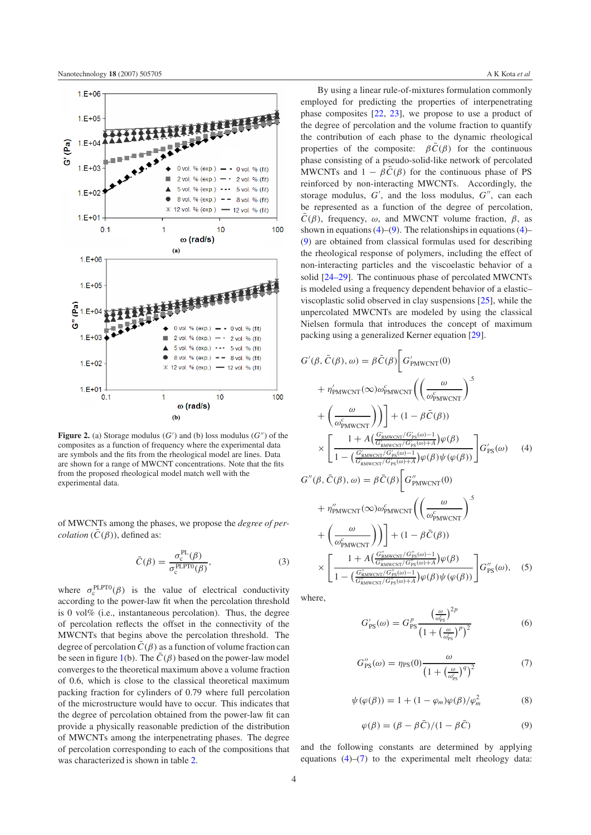<span id="page-3-0"></span>

Figure 2. (a) Storage modulus  $(G')$  and (b) loss modulus  $(G'')$  of the composites as a function of frequency where the experimental data are symbols and the fits from the rheological model are lines. Data are shown for a range of MWCNT concentrations. Note that the fits from the proposed rheological model match well with the experimental data.

of MWCNTs among the phases, we propose the *degree of percolation*  $(\overline{C}(\beta))$ , defined as:

$$
\bar{C}(\beta) = \frac{\sigma_c^{\text{PL}}(\beta)}{\sigma_c^{\text{PLPT0}}(\beta)},\tag{3}
$$

where  $\sigma_c^{\text{PLPT0}}(\beta)$  is the value of electrical conductivity according to the power-law fit when the percolation threshold is 0 vol% (i.e., instantaneous percolation). Thus, the degree of percolation reflects the offset in the connectivity of the MWCNTs that begins above the percolation threshold. The degree of percolation  $\bar{C}(\beta)$  as a function of volume fraction can be seen in figure [1\(](#page-2-0)b). The  $\overline{C}(\beta)$  based on the power-law model converges to the theoretical maximum above a volume fraction of 0.6, which is close to the classical theoretical maximum packing fraction for cylinders of 0.79 where full percolation of the microstructure would have to occur. This indicates that the degree of percolation obtained from the power-law fit can provide a physically reasonable prediction of the distribution of MWCNTs among the interpenetrating phases. The degree of percolation corresponding to each of the compositions that was characterized is shown in table [2.](#page-2-3)

By using a linear rule-of-mixtures formulation commonly employed for predicting the properties of interpenetrating phase composites [\[22,](#page-6-17) [23\]](#page-6-18), we propose to use a product of the degree of percolation and the volume fraction to quantify the contribution of each phase to the dynamic rheological properties of the composite:  $\beta \bar{C}(\beta)$  for the continuous phase consisting of a pseudo-solid-like network of percolated MWCNTs and  $1 - \beta C(\beta)$  for the continuous phase of PS reinforced by non-interacting MWCNTs. Accordingly, the storage modulus,  $G'$ , and the loss modulus,  $G''$ , can each be represented as a function of the degree of percolation,  $\overline{C}(\beta)$ , frequency,  $\omega$ , and MWCNT volume fraction,  $\beta$ , as shown in equations  $(4)$ – $(9)$ . The relationships in equations  $(4)$ – [\(9\)](#page-3-2) are obtained from classical formulas used for describing the rheological response of polymers, including the effect of non-interacting particles and the viscoelastic behavior of a solid [\[24–29\]](#page-6-19). The continuous phase of percolated MWCNTs is modeled using a frequency dependent behavior of a elastic– viscoplastic solid observed in clay suspensions [\[25\]](#page-6-20), while the unpercolated MWCNTs are modeled by using the classical Nielsen formula that introduces the concept of maximum packing using a generalized Kerner equation [\[29\]](#page-6-21).

<span id="page-3-1"></span>
$$
G'(\beta, \bar{C}(\beta), \omega) = \beta \bar{C}(\beta) \left[ G'_{PMWCNT}(0) + \eta'_{PMWCNT}(\infty) \omega^c_{PMWCNT} \left( \left( \frac{\omega}{\omega^c_{PMWCNT}} \right)^5 \right) + \left( \frac{\omega}{\omega^c_{PMWCNT}} \right) \right] + (1 - \beta \bar{C}(\beta))
$$
  
 
$$
\times \left[ \frac{1 + A \left( \frac{G'_{RMWCNT}}{G'_{RMWCNT}/G'_{PS}(\omega) - 1} \right) \varphi(\beta)}{1 - \left( \frac{G'_{RMWCNT}}{G'_{RMWCNT}/G'_{PS}(\omega) + A} \right) \varphi(\beta) \psi(\varphi(\beta))} \right] G'_{PS}(\omega) \tag{4}
$$

$$
G''(\beta, \bar{C}(\beta), \omega) = \beta \bar{C}(\beta) \left[ G''_{\text{PMWCNT}}(0) \right]
$$

$$
+ \eta_{\text{PMWCNT}}^{\prime\prime}(\infty)\omega_{\text{PMWCNT}}^{c}\left(\left(\frac{\omega}{\omega_{\text{PMWCNT}}^{c}}\right)^{3}\n+ \left(\frac{\omega}{\omega_{\text{PMWCNT}}^{c}}\right)\right) + (1 - \beta \bar{C}(\beta))\n\times \left[\frac{1 + A\left(\frac{G_{\text{RMWCNT}}^{\prime\prime}/G_{\text{PS}}^{\prime\prime}(\omega) - 1}{1 - \left(\frac{G_{\text{RMWCNT}}^{\prime\prime}/G_{\text{PS}}^{\prime\prime}(\omega) + A}{G_{\text{RMWCNT}}^{\prime\prime}/G_{\text{PS}}^{\prime\prime}(\omega) + A}\right)\varphi(\beta)\psi(\varphi(\beta))\right] G_{\text{PS}}^{\prime\prime}(\omega), \quad (5)
$$

<span id="page-3-3"></span><span id="page-3-2"></span>where,

$$
G'_{\rm PS}(\omega) = G_{\rm PS}^p \frac{\left(\frac{\omega}{\omega_{\rm FS}^c}\right)^{2p}}{\left(1 + \left(\frac{\omega}{\omega_{\rm FS}^c}\right)^p\right)^2} \tag{6}
$$

$$
G''_{\rm PS}(\omega) = \eta_{\rm PS}(0) \frac{\omega}{\left(1 + \left(\frac{\omega}{\omega_{\rm PS}^c}\right)^q\right)^2} \tag{7}
$$

$$
\psi(\varphi(\beta)) = 1 + (1 - \varphi_m)\varphi(\beta)/\varphi_m^2 \tag{8}
$$

$$
\varphi(\beta) = (\beta - \beta \bar{C})/(1 - \beta \bar{C})
$$
\n(9)

and the following constants are determined by applying equations  $(4)$ – $(7)$  to the experimental melt rheology data: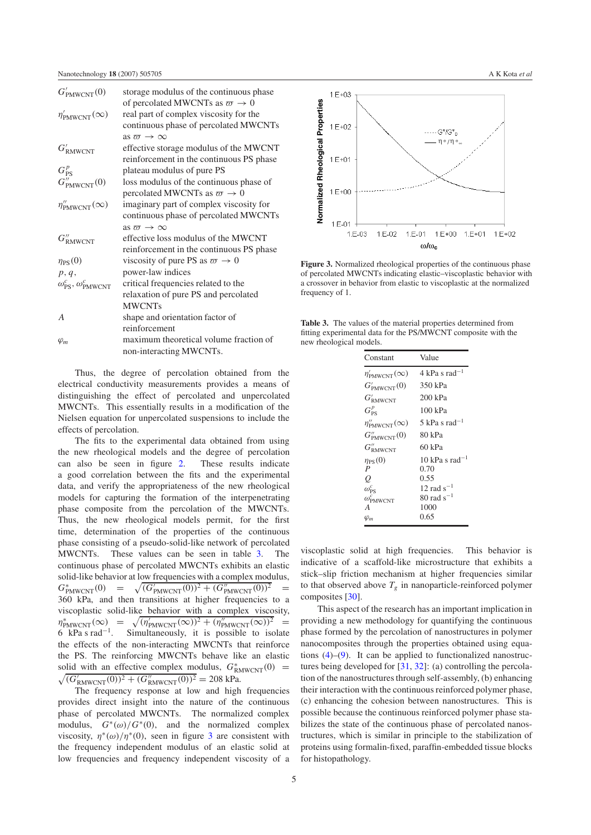| $G'_{\text{PMWCNT}}(0)$                          | storage modulus of the continuous phase  |
|--------------------------------------------------|------------------------------------------|
|                                                  | of percolated MWCNTs as $\varpi \to 0$   |
| $\eta'_{\text{PMWCNT}}(\infty)$                  | real part of complex viscosity for the   |
|                                                  | continuous phase of percolated MWCNTs    |
|                                                  | as $\pi \to \infty$                      |
| $G'_{\text{RMWCNT}}$                             | effective storage modulus of the MWCNT   |
|                                                  | reinforcement in the continuous PS phase |
| $G_{\rm PS}^p$                                   | plateau modulus of pure PS               |
| $G''_{\text{PMWCNT}}(0)$                         | loss modulus of the continuous phase of  |
|                                                  | percolated MWCNTs as $\varpi \to 0$      |
| $\eta^{\prime\prime}_{\mathrm{PMWCNT}}(\infty)$  | imaginary part of complex viscosity for  |
|                                                  | continuous phase of percolated MWCNTs    |
|                                                  | as $\pi \to \infty$                      |
| $G''_{\text{RMWCNT}}$                            | effective loss modulus of the MWCNT      |
|                                                  | reinforcement in the continuous PS phase |
| $\eta_{PS}(0)$                                   | viscosity of pure PS as $\varpi \to 0$   |
| p, q,                                            | power-law indices                        |
| $\omega_{\text{PS}}^c, \omega_{\text{PMWCNT}}^c$ | critical frequencies related to the      |
|                                                  | relaxation of pure PS and percolated     |
|                                                  | <b>MWCNTs</b>                            |
| $\overline{A}$                                   | shape and orientation factor of          |
|                                                  | reinforcement                            |
| $\varphi_m$                                      | maximum theoretical volume fraction of   |
|                                                  | non-interacting MWCNTs.                  |

Thus, the degree of percolation obtained from the electrical conductivity measurements provides a means of distinguishing the effect of percolated and unpercolated MWCNTs. This essentially results in a modification of the Nielsen equation for unpercolated suspensions to include the effects of percolation.

The fits to the experimental data obtained from using the new rheological models and the degree of percolation can also be seen in figure [2.](#page-3-0) These results indicate a good correlation between the fits and the experimental data, and verify the appropriateness of the new rheological models for capturing the formation of the interpenetrating phase composite from the percolation of the MWCNTs. Thus, the new rheological models permit, for the first time, determination of the properties of the continuous phase consisting of a pseudo-solid-like network of percolated MWCNTs. These values can be seen in table [3.](#page-4-0) The continuous phase of percolated MWCNTs exhibits an elastic solid-like behavior at low frequencies with a complex modulus,  $G^*_{\text{PMWCNT}}(0) = \sqrt{}$  $\sqrt{(G'_{\text{PMWCNT}}(0))^2 + (G''_{\text{PMWCNT}}(0))^2}$  = 360 kPa, and then transitions at higher frequencies to a viscoplastic solid-like behavior with a complex viscosity,  $\eta^*_{\text{PMWCNT}}(\infty) = \sqrt{\frac{\eta^*_{\text{PMWCNT}}(\infty)}{n}}$  $\sqrt{(\eta'_{\text{PMWCNT}}(\infty))^2 + (\eta''_{\text{PMWCNT}}(\infty))^2}$  = 6 kPa s rad<sup>−</sup>1. Simultaneously, it is possible to isolate the effects of the non-interacting MWCNTs that reinforce the PS. The reinforcing MWCNTs behave like an elastic solid with an effective complex modulus,  $G^*_{\text{RMWCNT}}(0)$  =  $\sqrt{(G'_{\text{RMWCNT}}(0))^2 + (G''_{\text{RMWCNT}}(0))^2} = 208 \text{ kPa}.$ 

The frequency response at low and high frequencies provides direct insight into the nature of the continuous phase of percolated MWCNTs. The normalized complex modulus,  $G^*(\omega)/G^*(0)$ , and the normalized complex viscosity,  $\eta^*(\omega)/\eta^*(0)$ , seen in figure [3](#page-4-1) are consistent with the frequency independent modulus of an elastic solid at low frequencies and frequency independent viscosity of a

<span id="page-4-1"></span>

<span id="page-4-0"></span>**Figure 3.** Normalized rheological properties of the continuous phase of percolated MWCNTs indicating elastic–viscoplastic behavior with a crossover in behavior from elastic to viscoplastic at the normalized frequency of 1.

**Table 3.** The values of the material properties determined from fitting experimental data for the PS/MWCNT composite with the new rheological models.

| Constant                         | Value                       |
|----------------------------------|-----------------------------|
| $\eta'_{\text{PMWCNT}}(\infty)$  | $4 \text{ kPa s rad}^{-1}$  |
| $G'_{\text{PMWCNT}}(0)$          | 350 kPa                     |
| $G'_{\text{RMWCNT}}$             | 200 kPa                     |
| $G_{PS}^p$                       | 100 kPa                     |
| $\eta''_{\text{PMWCNT}}(\infty)$ | 5 kPa s rad <sup>-1</sup>   |
| $G''_{\text{PMWCNT}}(0)$         | 80 kPa                      |
| $G''_{\text{RMWCNT}}$            | 60 kPa                      |
| $\eta_{PS}(0)$                   | $10 \text{ kPa s rad}^{-1}$ |
| P                                | 0.70                        |
| Q                                | 0.55                        |
| $\omega_{\text{PS}}^c$           | 12 rad $s^{-1}$             |
| $\omega_{\text{PMWCNT}}^c$       | $80 \text{ rad s}^{-1}$     |
| A                                | 1000                        |
| $\varphi_m$                      | 0.65                        |

viscoplastic solid at high frequencies. This behavior is indicative of a scaffold-like microstructure that exhibits a stick–slip friction mechanism at higher frequencies similar to that observed above  $T_g$  in nanoparticle-reinforced polymer composites [\[30\]](#page-6-22).

This aspect of the research has an important implication in providing a new methodology for quantifying the continuous phase formed by the percolation of nanostructures in polymer nanocomposites through the properties obtained using equations [\(4\)](#page-3-1)–[\(9\)](#page-3-2). It can be applied to functionalized nanostructures being developed for [\[31,](#page-6-23) [32\]](#page-6-24): (a) controlling the percolation of the nanostructures through self-assembly, (b) enhancing their interaction with the continuous reinforced polymer phase, (c) enhancing the cohesion between nanostructures. This is possible because the continuous reinforced polymer phase stabilizes the state of the continuous phase of percolated nanostructures, which is similar in principle to the stabilization of proteins using formalin-fixed, paraffin-embedded tissue blocks for histopathology.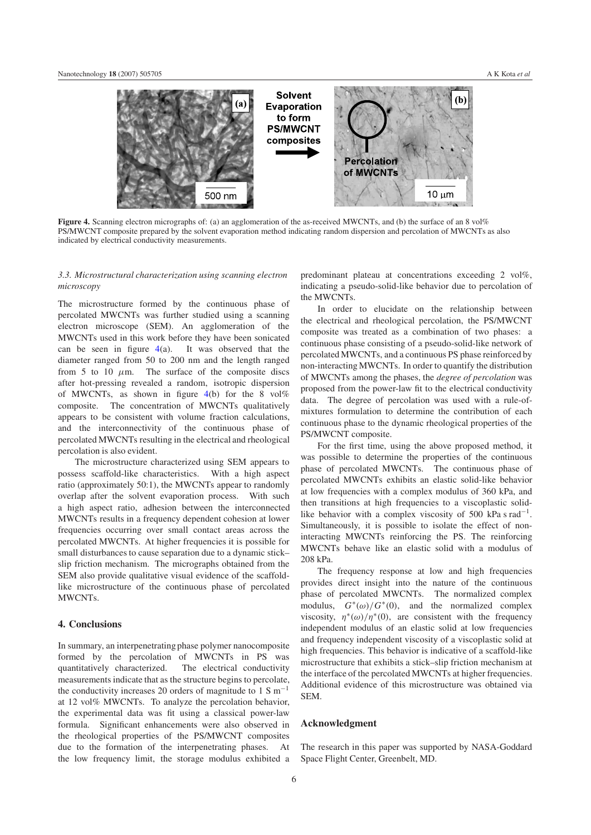<span id="page-5-0"></span>

**Figure 4.** Scanning electron micrographs of: (a) an agglomeration of the as-received MWCNTs, and (b) the surface of an 8 vol% PS/MWCNT composite prepared by the solvent evaporation method indicating random dispersion and percolation of MWCNTs as also indicated by electrical conductivity measurements.

## *3.3. Microstructural characterization using scanning electron microscopy*

The microstructure formed by the continuous phase of percolated MWCNTs was further studied using a scanning electron microscope (SEM). An agglomeration of the MWCNTs used in this work before they have been sonicated can be seen in figure  $4(a)$  $4(a)$ . It was observed that the diameter ranged from 50 to 200 nm and the length ranged from 5 to 10  $\mu$ m. The surface of the composite discs after hot-pressing revealed a random, isotropic dispersion of MWCNTs, as shown in figure  $4(b)$  $4(b)$  for the 8 vol% composite. The concentration of MWCNTs qualitatively appears to be consistent with volume fraction calculations, and the interconnectivity of the continuous phase of percolated MWCNTs resulting in the electrical and rheological percolation is also evident.

The microstructure characterized using SEM appears to possess scaffold-like characteristics. With a high aspect ratio (approximately 50:1), the MWCNTs appear to randomly overlap after the solvent evaporation process. With such a high aspect ratio, adhesion between the interconnected MWCNTs results in a frequency dependent cohesion at lower frequencies occurring over small contact areas across the percolated MWCNTs. At higher frequencies it is possible for small disturbances to cause separation due to a dynamic stick– slip friction mechanism. The micrographs obtained from the SEM also provide qualitative visual evidence of the scaffoldlike microstructure of the continuous phase of percolated MWCNTs.

#### **4. Conclusions**

In summary, an interpenetrating phase polymer nanocomposite formed by the percolation of MWCNTs in PS was quantitatively characterized. The electrical conductivity measurements indicate that as the structure begins to percolate, the conductivity increases 20 orders of magnitude to 1 S  $m^{-1}$ at 12 vol% MWCNTs. To analyze the percolation behavior, the experimental data was fit using a classical power-law formula. Significant enhancements were also observed in the rheological properties of the PS/MWCNT composites due to the formation of the interpenetrating phases. At the low frequency limit, the storage modulus exhibited a

predominant plateau at concentrations exceeding 2 vol%, indicating a pseudo-solid-like behavior due to percolation of the MWCNTs.

In order to elucidate on the relationship between the electrical and rheological percolation, the PS/MWCNT composite was treated as a combination of two phases: a continuous phase consisting of a pseudo-solid-like network of percolated MWCNTs, and a continuous PS phase reinforced by non-interacting MWCNTs. In order to quantify the distribution of MWCNTs among the phases, the *degree of percolation* was proposed from the power-law fit to the electrical conductivity data. The degree of percolation was used with a rule-ofmixtures formulation to determine the contribution of each continuous phase to the dynamic rheological properties of the PS/MWCNT composite.

For the first time, using the above proposed method, it was possible to determine the properties of the continuous phase of percolated MWCNTs. The continuous phase of percolated MWCNTs exhibits an elastic solid-like behavior at low frequencies with a complex modulus of 360 kPa, and then transitions at high frequencies to a viscoplastic solidlike behavior with a complex viscosity of 500 kPa s  $rad^{-1}$ . Simultaneously, it is possible to isolate the effect of noninteracting MWCNTs reinforcing the PS. The reinforcing MWCNTs behave like an elastic solid with a modulus of 208 kPa.

The frequency response at low and high frequencies provides direct insight into the nature of the continuous phase of percolated MWCNTs. The normalized complex modulus,  $G^*(\omega)/G^*(0)$ , and the normalized complex viscosity,  $\eta^*(\omega)/\eta^*(0)$ , are consistent with the frequency independent modulus of an elastic solid at low frequencies and frequency independent viscosity of a viscoplastic solid at high frequencies. This behavior is indicative of a scaffold-like microstructure that exhibits a stick–slip friction mechanism at the interface of the percolated MWCNTs at higher frequencies. Additional evidence of this microstructure was obtained via SEM.

## **Acknowledgment**

The research in this paper was supported by NASA-Goddard Space Flight Center, Greenbelt, MD.